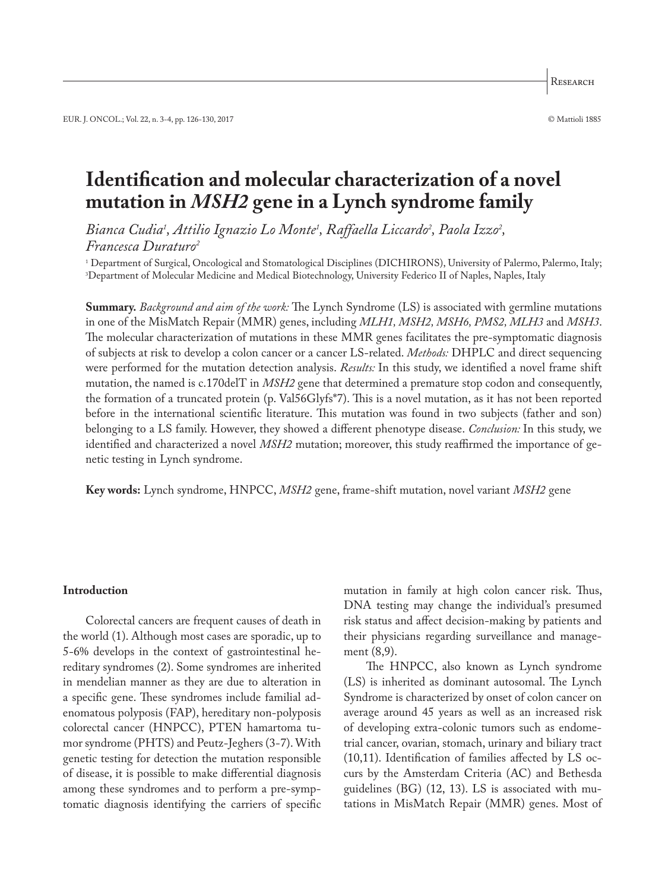# **Identification and molecular characterization of a novel mutation in** *MSH2* **gene in a Lynch syndrome family**

*Bianca Cudia1 , Attilio Ignazio Lo Monte1 , Raffaella Liccardo2 , Paola Izzo2 , Francesca Duraturo2*

1 Department of Surgical, Oncological and Stomatological Disciplines (DICHIRONS), University of Palermo, Palermo, Italy; 3 Department of Molecular Medicine and Medical Biotechnology, University Federico II of Naples, Naples, Italy

**Summary.** *Background and aim of the work:* The Lynch Syndrome (LS) is associated with germline mutations in one of the MisMatch Repair (MMR) genes, including *MLH1, MSH2, MSH6, PMS2, MLH3* and *MSH3*. The molecular characterization of mutations in these MMR genes facilitates the pre-symptomatic diagnosis of subjects at risk to develop a colon cancer or a cancer LS-related. *Methods:* DHPLC and direct sequencing were performed for the mutation detection analysis. *Results:* In this study, we identified a novel frame shift mutation, the named is c.170delT in *MSH2* gene that determined a premature stop codon and consequently, the formation of a truncated protein (p. Val56Glyfs\*7). This is a novel mutation, as it has not been reported before in the international scientific literature. This mutation was found in two subjects (father and son) belonging to a LS family. However, they showed a different phenotype disease. *Conclusion:* In this study, we identified and characterized a novel *MSH2* mutation; moreover, this study reaffirmed the importance of genetic testing in Lynch syndrome.

**Key words:** Lynch syndrome, HNPCC, *MSH2* gene, frame-shift mutation, novel variant *MSH2* gene

#### **Introduction**

Colorectal cancers are frequent causes of death in the world (1). Although most cases are sporadic, up to 5-6% develops in the context of gastrointestinal hereditary syndromes (2). Some syndromes are inherited in mendelian manner as they are due to alteration in a specific gene. These syndromes include familial adenomatous polyposis (FAP), hereditary non-polyposis colorectal cancer (HNPCC), PTEN hamartoma tumor syndrome (PHTS) and Peutz-Jeghers (3-7). With genetic testing for detection the mutation responsible of disease, it is possible to make differential diagnosis among these syndromes and to perform a pre-symptomatic diagnosis identifying the carriers of specific

mutation in family at high colon cancer risk. Thus, DNA testing may change the individual's presumed risk status and affect decision-making by patients and their physicians regarding surveillance and management (8,9).

The HNPCC, also known as Lynch syndrome (LS) is inherited as dominant autosomal. The Lynch Syndrome is characterized by onset of colon cancer on average around 45 years as well as an increased risk of developing extra-colonic tumors such as endometrial cancer, ovarian, stomach, urinary and biliary tract (10,11). Identification of families affected by LS occurs by the Amsterdam Criteria (AC) and Bethesda guidelines (BG) (12, 13). LS is associated with mutations in MisMatch Repair (MMR) genes. Most of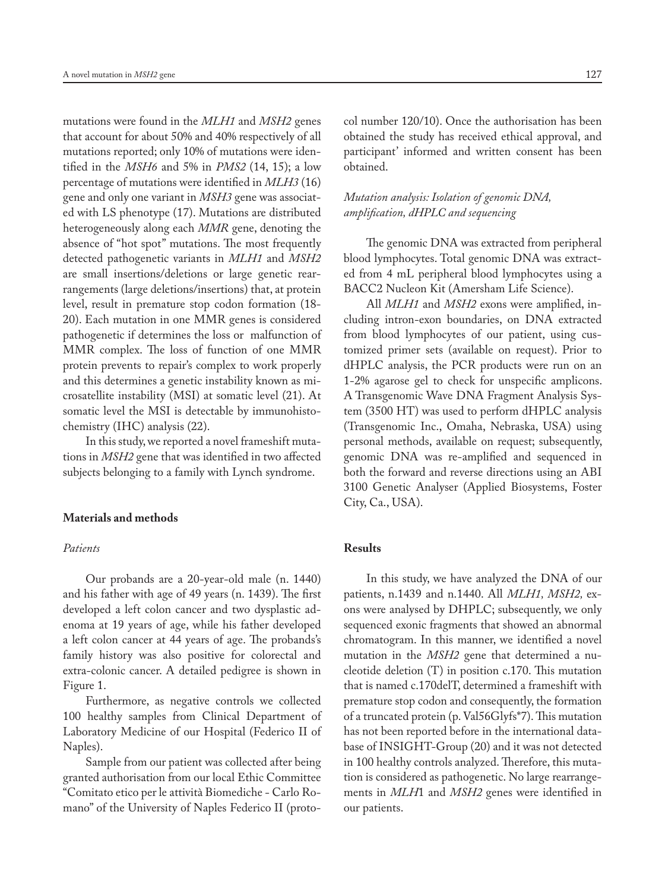mutations were found in the *MLH1* and *MSH2* genes that account for about 50% and 40% respectively of all mutations reported; only 10% of mutations were identified in the *MSH6* and 5% in *PMS2* (14, 15); a low percentage of mutations were identified in *MLH3* (16) gene and only one variant in *MSH3* gene was associated with LS phenotype (17). Mutations are distributed heterogeneously along each *MMR* gene, denoting the absence of "hot spot" mutations. The most frequently detected pathogenetic variants in *MLH1* and *MSH2* are small insertions/deletions or large genetic rearrangements (large deletions/insertions) that, at protein level, result in premature stop codon formation (18- 20). Each mutation in one MMR genes is considered pathogenetic if determines the loss or malfunction of MMR complex. The loss of function of one MMR protein prevents to repair's complex to work properly and this determines a genetic instability known as microsatellite instability (MSI) at somatic level (21). At somatic level the MSI is detectable by immunohistochemistry (IHC) analysis (22).

In this study, we reported a novel frameshift mutations in *MSH2* gene that was identified in two affected subjects belonging to a family with Lynch syndrome.

#### **Materials and methods**

### *Patients*

Our probands are a 20-year-old male (n. 1440) and his father with age of 49 years (n. 1439). The first developed a left colon cancer and two dysplastic adenoma at 19 years of age, while his father developed a left colon cancer at 44 years of age. The probands's family history was also positive for colorectal and extra-colonic cancer. A detailed pedigree is shown in Figure 1.

Furthermore, as negative controls we collected 100 healthy samples from Clinical Department of Laboratory Medicine of our Hospital (Federico II of Naples).

Sample from our patient was collected after being granted authorisation from our local Ethic Committee "Comitato etico per le attività Biomediche - Carlo Romano" of the University of Naples Federico II (protocol number 120/10). Once the authorisation has been obtained the study has received ethical approval, and participant' informed and written consent has been obtained.

# *Mutation analysis: Isolation of genomic DNA, amplification, dHPLC and sequencing*

The genomic DNA was extracted from peripheral blood lymphocytes. Total genomic DNA was extracted from 4 mL peripheral blood lymphocytes using a BACC2 Nucleon Kit (Amersham Life Science).

All *MLH1* and *MSH2* exons were amplified, including intron-exon boundaries, on DNA extracted from blood lymphocytes of our patient, using customized primer sets (available on request). Prior to dHPLC analysis, the PCR products were run on an 1-2% agarose gel to check for unspecific amplicons. A Transgenomic Wave DNA Fragment Analysis System (3500 HT) was used to perform dHPLC analysis (Transgenomic Inc., Omaha, Nebraska, USA) using personal methods, available on request; subsequently, genomic DNA was re-amplified and sequenced in both the forward and reverse directions using an ABI 3100 Genetic Analyser (Applied Biosystems, Foster City, Ca., USA).

# **Results**

In this study, we have analyzed the DNA of our patients, n.1439 and n.1440. All *MLH1, MSH2,* exons were analysed by DHPLC; subsequently, we only sequenced exonic fragments that showed an abnormal chromatogram. In this manner, we identified a novel mutation in the *MSH2* gene that determined a nucleotide deletion (T) in position c.170. This mutation that is named c.170delT, determined a frameshift with premature stop codon and consequently, the formation of a truncated protein (p. Val56Glyfs\*7). This mutation has not been reported before in the international database of INSIGHT-Group (20) and it was not detected in 100 healthy controls analyzed. Therefore, this mutation is considered as pathogenetic. No large rearrangements in *MLH*1 and *MSH2* genes were identified in our patients.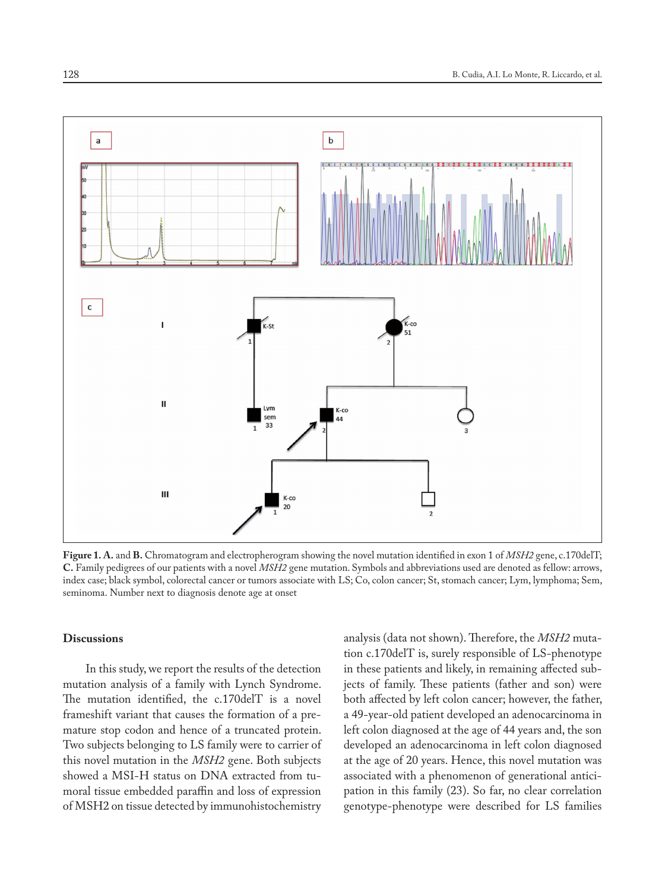

**Figure 1. A.** and **B.** Chromatogram and electropherogram showing the novel mutation identified in exon 1 of *MSH2* gene, c.170delT; **C.** Family pedigrees of our patients with a novel *MSH2* gene mutation. Symbols and abbreviations used are denoted as fellow: arrows, index case; black symbol, colorectal cancer or tumors associate with LS; Co, colon cancer; St, stomach cancer; Lym, lymphoma; Sem, seminoma. Number next to diagnosis denote age at onset

## **Discussions**

In this study, we report the results of the detection mutation analysis of a family with Lynch Syndrome. The mutation identified, the c.170delT is a novel frameshift variant that causes the formation of a premature stop codon and hence of a truncated protein. Two subjects belonging to LS family were to carrier of this novel mutation in the *MSH2* gene. Both subjects showed a MSI-H status on DNA extracted from tumoral tissue embedded paraffin and loss of expression of MSH2 on tissue detected by immunohistochemistry

analysis (data not shown). Therefore, the *MSH2* mutation c.170delT is, surely responsible of LS-phenotype in these patients and likely, in remaining affected subjects of family. These patients (father and son) were both affected by left colon cancer; however, the father, a 49-year-old patient developed an adenocarcinoma in left colon diagnosed at the age of 44 years and, the son developed an adenocarcinoma in left colon diagnosed at the age of 20 years. Hence, this novel mutation was associated with a phenomenon of generational anticipation in this family (23). So far, no clear correlation genotype-phenotype were described for LS families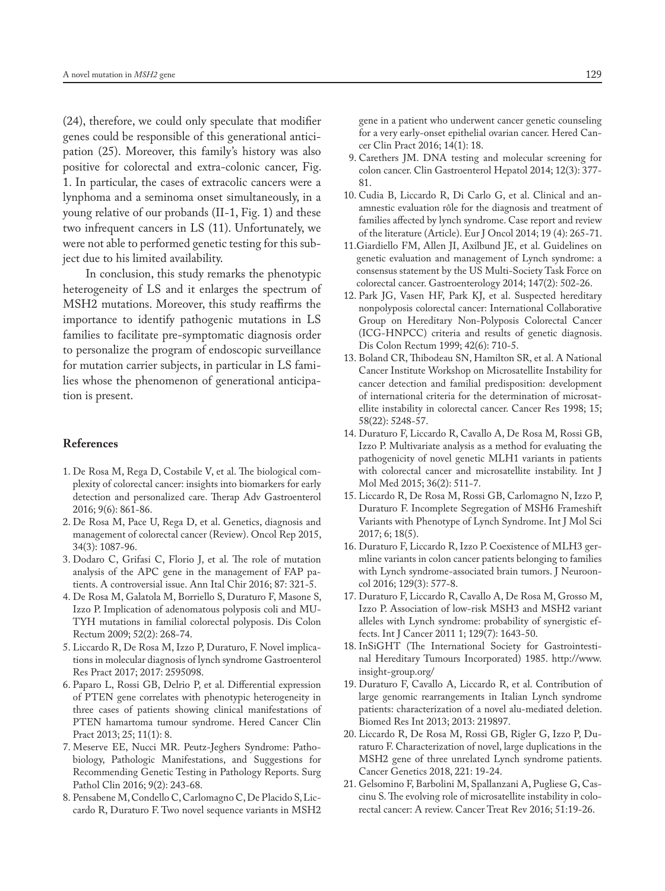(24), therefore, we could only speculate that modifier genes could be responsible of this generational anticipation (25). Moreover, this family's history was also positive for colorectal and extra-colonic cancer, Fig. 1. In particular, the cases of extracolic cancers were a lynphoma and a seminoma onset simultaneously, in a young relative of our probands (II-1, Fig. 1) and these two infrequent cancers in LS (11). Unfortunately, we were not able to performed genetic testing for this subject due to his limited availability.

In conclusion, this study remarks the phenotypic heterogeneity of LS and it enlarges the spectrum of MSH2 mutations. Moreover, this study reaffirms the importance to identify pathogenic mutations in LS families to facilitate pre-symptomatic diagnosis order to personalize the program of endoscopic surveillance for mutation carrier subjects, in particular in LS families whose the phenomenon of generational anticipation is present.

## **References**

- 1. De Rosa M, Rega D, Costabile V, et al. The biological complexity of colorectal cancer: insights into biomarkers for early detection and personalized care. Therap Adv Gastroenterol 2016; 9(6): 861-86.
- 2. De Rosa M, Pace U, Rega D, et al. Genetics, diagnosis and management of colorectal cancer (Review). Oncol Rep 2015, 34(3): 1087-96.
- 3. Dodaro C, Grifasi C, Florio J, et al. The role of mutation analysis of the APC gene in the management of FAP patients. A controversial issue. Ann Ital Chir 2016; 87: 321-5.
- 4. De Rosa M, Galatola M, Borriello S, Duraturo F, Masone S, Izzo P. Implication of adenomatous polyposis coli and MU-TYH mutations in familial colorectal polyposis. Dis Colon Rectum 2009; 52(2): 268-74.
- 5. Liccardo R, De Rosa M, Izzo P, Duraturo, F. Novel implications in molecular diagnosis of lynch syndrome Gastroenterol Res Pract 2017; 2017: 2595098.
- 6. Paparo L, Rossi GB, Delrio P, et al. Differential expression of PTEN gene correlates with phenotypic heterogeneity in three cases of patients showing clinical manifestations of PTEN hamartoma tumour syndrome. Hered Cancer Clin Pract 2013; 25; 11(1): 8.
- 7. Meserve EE, Nucci MR. Peutz-Jeghers Syndrome: Pathobiology, Pathologic Manifestations, and Suggestions for Recommending Genetic Testing in Pathology Reports. Surg Pathol Clin 2016; 9(2): 243-68.
- 8. Pensabene M, Condello C, Carlomagno C, De Placido S, Liccardo R, Duraturo F. Two novel sequence variants in MSH2

 gene in a patient who underwent cancer genetic counseling for a very early-onset epithelial ovarian cancer. Hered Cancer Clin Pract 2016; 14(1): 18.

- 9. Carethers JM. DNA testing and molecular screening for colon cancer. Clin Gastroenterol Hepatol 2014; 12(3): 377- 81.
- 10. Cudia B, Liccardo R, Di Carlo G, et al. Clinical and anamnestic evaluation rôle for the diagnosis and treatment of families affected by lynch syndrome. Case report and review of the literature (Article). Eur J Oncol 2014; 19 (4): 265-71.
- 11.Giardiello FM, Allen JI, Axilbund JE, et al. Guidelines on genetic evaluation and management of Lynch syndrome: a consensus statement by the US Multi-Society Task Force on colorectal cancer. Gastroenterology 2014; 147(2): 502-26.
- 12. Park JG, Vasen HF, Park KJ, et al. Suspected hereditary nonpolyposis colorectal cancer: International Collaborative Group on Hereditary Non-Polyposis Colorectal Cancer (ICG-HNPCC) criteria and results of genetic diagnosis. Dis Colon Rectum 1999; 42(6): 710-5.
- 13. Boland CR, Thibodeau SN, Hamilton SR, et al. A National Cancer Institute Workshop on Microsatellite Instability for cancer detection and familial predisposition: development of international criteria for the determination of microsatellite instability in colorectal cancer. Cancer Res 1998; 15; 58(22): 5248-57.
- 14. Duraturo F, Liccardo R, Cavallo A, De Rosa M, Rossi GB, Izzo P. Multivariate analysis as a method for evaluating the pathogenicity of novel genetic MLH1 variants in patients with colorectal cancer and microsatellite instability. Int J Mol Med 2015; 36(2): 511-7.
- 15. Liccardo R, De Rosa M, Rossi GB, Carlomagno N, Izzo P, Duraturo F. Incomplete Segregation of MSH6 Frameshift Variants with Phenotype of Lynch Syndrome. Int J Mol Sci 2017; 6; 18(5).
- 16. Duraturo F, Liccardo R, Izzo P. Coexistence of MLH3 germline variants in colon cancer patients belonging to families with Lynch syndrome-associated brain tumors. J Neurooncol 2016; 129(3): 577-8.
- 17. Duraturo F, Liccardo R, Cavallo A, De Rosa M, Grosso M, Izzo P. Association of low-risk MSH3 and MSH2 variant alleles with Lynch syndrome: probability of synergistic effects. Int J Cancer 2011 1; 129(7): 1643-50.
- 18. InSiGHT (The International Society for Gastrointestinal Hereditary Tumours Incorporated) 1985. http://www. insight-group.org/
- 19. Duraturo F, Cavallo A, Liccardo R, et al. Contribution of large genomic rearrangements in Italian Lynch syndrome patients: characterization of a novel alu-mediated deletion. Biomed Res Int 2013; 2013: 219897.
- 20. Liccardo R, De Rosa M, Rossi GB, Rigler G, Izzo P, Duraturo F. Characterization of novel, large duplications in the MSH2 gene of three unrelated Lynch syndrome patients. Cancer Genetics 2018, 221: 19-24.
- 21. Gelsomino F, Barbolini M, Spallanzani A, Pugliese G, Cascinu S. The evolving role of microsatellite instability in colorectal cancer: A review. Cancer Treat Rev 2016; 51:19-26.